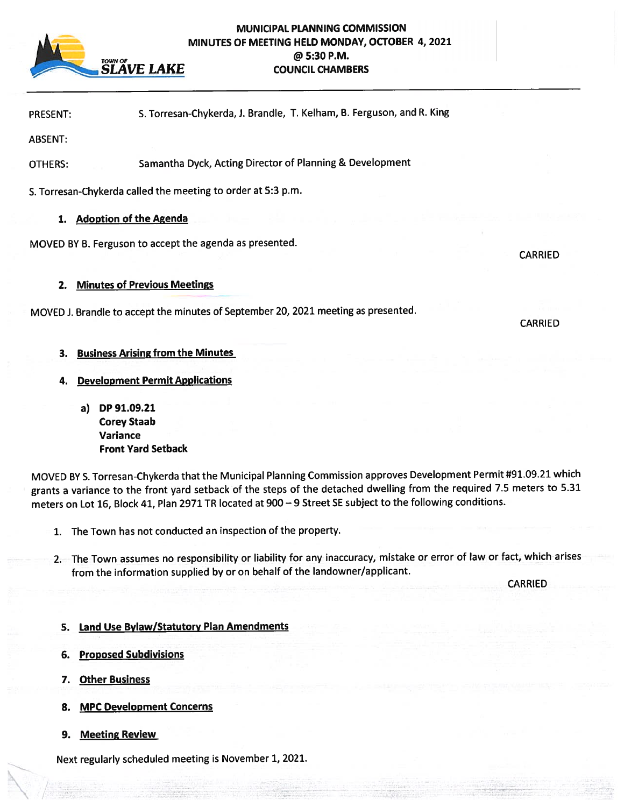

## MUNICIPAL PLANNING COMMISSION MINUTES OF MEETING HELD MONDAY, OCTOBER 20, 2021 **4, 2021** $T$ <sup>TOWN OF</sup>  $\omega$  5:30 P.M. **EXAMPLE SLAVE LAKE** COUNCIL CHAMBERS

| <b>PRESENT:</b> |  | S. Torresan-Chykerda, J. Brandle, T. Kelham, B. Ferguson, and R. King |
|-----------------|--|-----------------------------------------------------------------------|
|-----------------|--|-----------------------------------------------------------------------|

ABSENT:

OTHERS: Samantha Dyck, Acting Director of Planning & Development

S. Torresan-Chykerda called the meeting to order at 5:3 p.m.

## 1. Adoption of the Agenda

MOVED BY B. Ferguson to accep<sup>t</sup> the agenda as presented.

## 2. Minutes of Previous Meetings

MOVED i. Brandle to accep<sup>t</sup> the minutes of September 20, <sup>2021</sup> meeting as presented.

CARRIED

**CARRIED** 

- 3. Business Arising from the Minutes
- 4. Development Permit Applications
	- a) DP 91.09.21 Corey Staab Variance Front Yard Setback

MOVED BY S. Torresan-Chykerda that the Municipal Planning Commission approves Development Permit #91.09.21 which grants <sup>a</sup> variance to the front yar<sup>d</sup> setback of the steps of the detached dwelling from the required 7.5 meters to 5.31 meters on Lot 16, Block 41, Plan <sup>2971</sup> TR located at <sup>900</sup> — <sup>9</sup> Street SE subject to the following conditions.

- 1. The Town has not conducted an inspection of the property.
- 2. The Town assumes no responsibility or liability for any inaccuracy, mistake or error of law or fact, which arises from the information supplied by or on behalf of the landowner/applicant.

CARRIED

- 5. Land Use Bylaw/Statutory Plan Amendments
- 6. Proposed Subdivisions
- 7. Other Business
- 8. MPC Development Concerns
- 9. Meeting Review

Next regularly scheduled meeting is November 1, 2021.